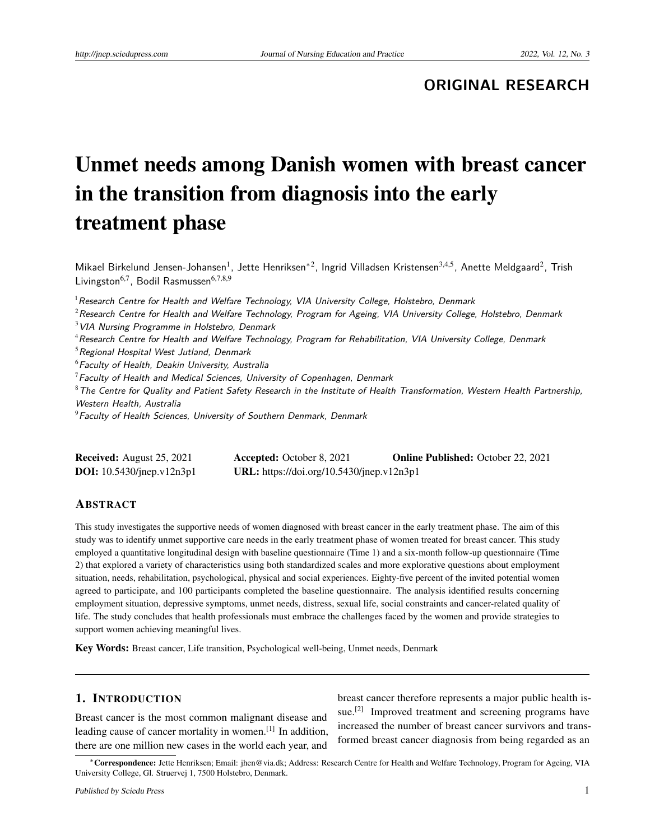**ORIGINAL RESEARCH**

# Unmet needs among Danish women with breast cancer in the transition from diagnosis into the early treatment phase

Mikael Birkelund Jensen-Johansen<sup>1</sup>, Jette Henriksen<sup>\*2</sup>, Ingrid Villadsen Kristensen<sup>3,4,5</sup>, Anette Meldgaard<sup>2</sup>, Trish Livingston<sup>6,7</sup>, Bodil Rasmussen<sup>6,7,8,9</sup>

 $<sup>1</sup>$  Research Centre for Health and Welfare Technology, VIA University College, Holstebro, Denmark</sup>

- $3$  VIA Nursing Programme in Holstebro, Denmark
- <sup>4</sup> Research Centre for Health and Welfare Technology, Program for Rehabilitation, VIA University College, Denmark

 $5$ Regional Hospital West Jutland, Denmark

 $6$ Faculty of Health, Deakin University, Australia

 $7$ Faculty of Health and Medical Sciences, University of Copenhagen, Denmark

 $8$ The Centre for Quality and Patient Safety Research in the Institute of Health Transformation, Western Health Partnership, Western Health, Australia

 $9$ Faculty of Health Sciences, University of Southern Denmark, Denmark

| <b>Received:</b> August 25, 2021    | <b>Accepted:</b> October 8, 2021          | <b>Online Published:</b> October 22, 2021 |
|-------------------------------------|-------------------------------------------|-------------------------------------------|
| <b>DOI:</b> $10.5430$ /jnep.v12n3p1 | URL: https://doi.org/10.5430/jnep.v12n3p1 |                                           |

### **ABSTRACT**

This study investigates the supportive needs of women diagnosed with breast cancer in the early treatment phase. The aim of this study was to identify unmet supportive care needs in the early treatment phase of women treated for breast cancer. This study employed a quantitative longitudinal design with baseline questionnaire (Time 1) and a six-month follow-up questionnaire (Time 2) that explored a variety of characteristics using both standardized scales and more explorative questions about employment situation, needs, rehabilitation, psychological, physical and social experiences. Eighty-five percent of the invited potential women agreed to participate, and 100 participants completed the baseline questionnaire. The analysis identified results concerning employment situation, depressive symptoms, unmet needs, distress, sexual life, social constraints and cancer-related quality of life. The study concludes that health professionals must embrace the challenges faced by the women and provide strategies to support women achieving meaningful lives.

Key Words: Breast cancer, Life transition, Psychological well-being, Unmet needs, Denmark

# 1. INTRODUCTION

Breast cancer is the most common malignant disease and leading cause of cancer mortality in women.<sup>[\[1\]](#page-7-0)</sup> In addition, there are one million new cases in the world each year, and

breast cancer therefore represents a major public health is-sue.<sup>[\[2\]](#page-7-1)</sup> Improved treatment and screening programs have increased the number of breast cancer survivors and transformed breast cancer diagnosis from being regarded as an

 $2$ Research Centre for Health and Welfare Technology, Program for Ageing, VIA University College, Holstebro, Denmark

<sup>∗</sup>Correspondence: Jette Henriksen; Email: jhen@via.dk; Address: Research Centre for Health and Welfare Technology, Program for Ageing, VIA University College, Gl. Struervej 1, 7500 Holstebro, Denmark.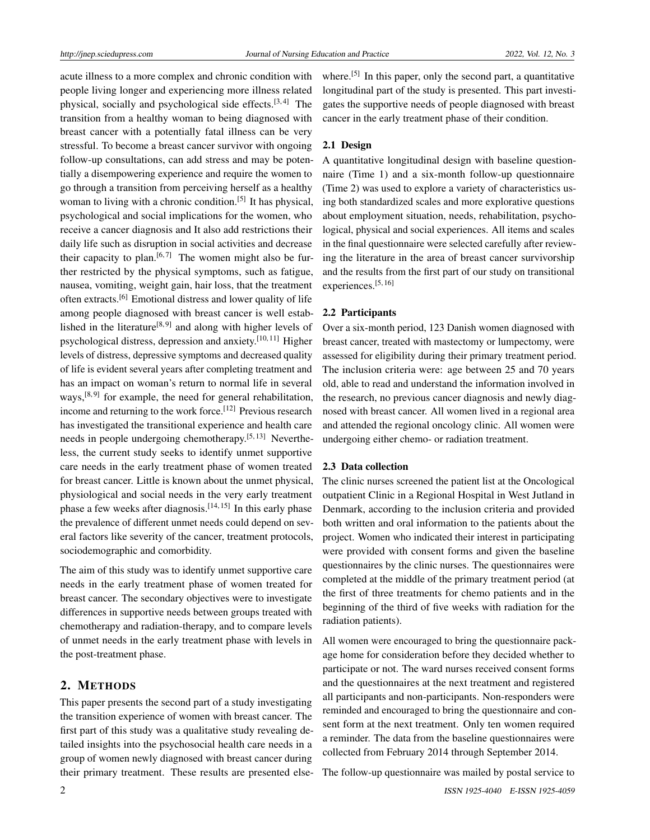acute illness to a more complex and chronic condition with people living longer and experiencing more illness related physical, socially and psychological side effects.<sup>[\[3,](#page-7-2)[4\]](#page-7-3)</sup> The transition from a healthy woman to being diagnosed with breast cancer with a potentially fatal illness can be very stressful. To become a breast cancer survivor with ongoing follow-up consultations, can add stress and may be potentially a disempowering experience and require the women to go through a transition from perceiving herself as a healthy woman to living with a chronic condition.<sup>[\[5\]](#page-7-4)</sup> It has physical, psychological and social implications for the women, who receive a cancer diagnosis and It also add restrictions their daily life such as disruption in social activities and decrease their capacity to plan.<sup>[\[6,](#page-7-5)[7\]](#page-7-6)</sup> The women might also be further restricted by the physical symptoms, such as fatigue, nausea, vomiting, weight gain, hair loss, that the treatment often extracts.[\[6\]](#page-7-5) Emotional distress and lower quality of life among people diagnosed with breast cancer is well estab-lished in the literature<sup>[\[8,](#page-7-7)[9\]](#page-7-8)</sup> and along with higher levels of psychological distress, depression and anxiety.<sup>[\[10,](#page-7-9) [11\]](#page-7-10)</sup> Higher levels of distress, depressive symptoms and decreased quality of life is evident several years after completing treatment and has an impact on woman's return to normal life in several ways,<sup>[\[8,](#page-7-7)[9\]](#page-7-8)</sup> for example, the need for general rehabilitation, income and returning to the work force.<sup>[\[12\]](#page-7-11)</sup> Previous research has investigated the transitional experience and health care needs in people undergoing chemotherapy.[\[5,](#page-7-4) [13\]](#page-7-12) Nevertheless, the current study seeks to identify unmet supportive care needs in the early treatment phase of women treated for breast cancer. Little is known about the unmet physical, physiological and social needs in the very early treatment phase a few weeks after diagnosis.<sup>[\[14,](#page-7-13)[15\]](#page-7-14)</sup> In this early phase the prevalence of different unmet needs could depend on several factors like severity of the cancer, treatment protocols, sociodemographic and comorbidity.

The aim of this study was to identify unmet supportive care needs in the early treatment phase of women treated for breast cancer. The secondary objectives were to investigate differences in supportive needs between groups treated with chemotherapy and radiation-therapy, and to compare levels of unmet needs in the early treatment phase with levels in the post-treatment phase.

# 2. METHODS

This paper presents the second part of a study investigating the transition experience of women with breast cancer. The first part of this study was a qualitative study revealing detailed insights into the psychosocial health care needs in a group of women newly diagnosed with breast cancer during their primary treatment. These results are presented else-

where.<sup>[\[5\]](#page-7-4)</sup> In this paper, only the second part, a quantitative longitudinal part of the study is presented. This part investigates the supportive needs of people diagnosed with breast cancer in the early treatment phase of their condition.

### 2.1 Design

A quantitative longitudinal design with baseline questionnaire (Time 1) and a six-month follow-up questionnaire (Time 2) was used to explore a variety of characteristics using both standardized scales and more explorative questions about employment situation, needs, rehabilitation, psychological, physical and social experiences. All items and scales in the final questionnaire were selected carefully after reviewing the literature in the area of breast cancer survivorship and the results from the first part of our study on transitional experiences.[\[5,](#page-7-4) [16\]](#page-8-0)

### 2.2 Participants

Over a six-month period, 123 Danish women diagnosed with breast cancer, treated with mastectomy or lumpectomy, were assessed for eligibility during their primary treatment period. The inclusion criteria were: age between 25 and 70 years old, able to read and understand the information involved in the research, no previous cancer diagnosis and newly diagnosed with breast cancer. All women lived in a regional area and attended the regional oncology clinic. All women were undergoing either chemo- or radiation treatment.

### 2.3 Data collection

The clinic nurses screened the patient list at the Oncological outpatient Clinic in a Regional Hospital in West Jutland in Denmark, according to the inclusion criteria and provided both written and oral information to the patients about the project. Women who indicated their interest in participating were provided with consent forms and given the baseline questionnaires by the clinic nurses. The questionnaires were completed at the middle of the primary treatment period (at the first of three treatments for chemo patients and in the beginning of the third of five weeks with radiation for the radiation patients).

All women were encouraged to bring the questionnaire package home for consideration before they decided whether to participate or not. The ward nurses received consent forms and the questionnaires at the next treatment and registered all participants and non-participants. Non-responders were reminded and encouraged to bring the questionnaire and consent form at the next treatment. Only ten women required a reminder. The data from the baseline questionnaires were collected from February 2014 through September 2014.

The follow-up questionnaire was mailed by postal service to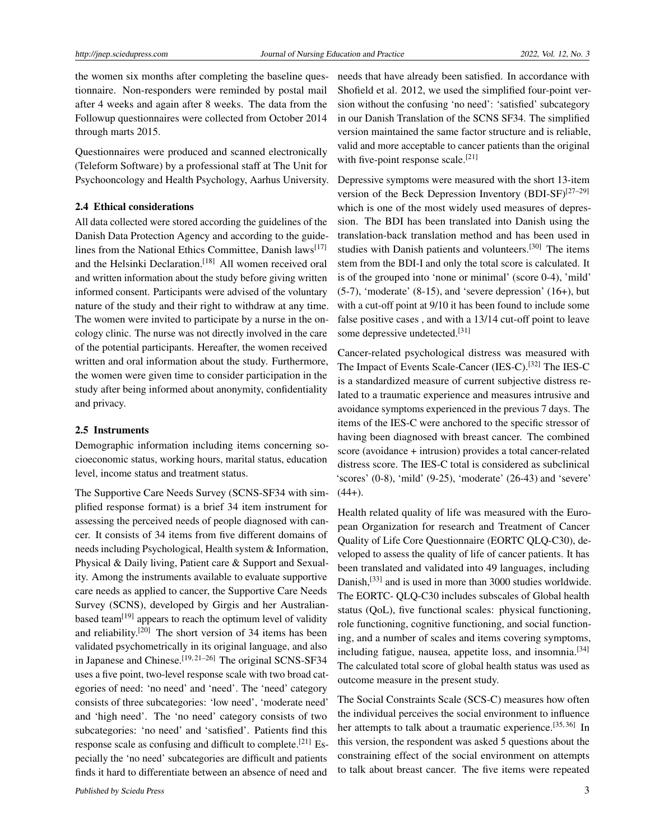the women six months after completing the baseline questionnaire. Non-responders were reminded by postal mail after 4 weeks and again after 8 weeks. The data from the Followup questionnaires were collected from October 2014 through marts 2015.

Questionnaires were produced and scanned electronically (Teleform Software) by a professional staff at The Unit for Psychooncology and Health Psychology, Aarhus University.

### 2.4 Ethical considerations

All data collected were stored according the guidelines of the Danish Data Protection Agency and according to the guide-lines from the National Ethics Committee, Danish laws<sup>[\[17\]](#page-8-1)</sup> and the Helsinki Declaration.<sup>[\[18\]](#page-8-2)</sup> All women received oral and written information about the study before giving written informed consent. Participants were advised of the voluntary nature of the study and their right to withdraw at any time. The women were invited to participate by a nurse in the oncology clinic. The nurse was not directly involved in the care of the potential participants. Hereafter, the women received written and oral information about the study. Furthermore, the women were given time to consider participation in the study after being informed about anonymity, confidentiality and privacy.

### 2.5 Instruments

Demographic information including items concerning socioeconomic status, working hours, marital status, education level, income status and treatment status.

The Supportive Care Needs Survey (SCNS-SF34 with simplified response format) is a brief 34 item instrument for assessing the perceived needs of people diagnosed with cancer. It consists of 34 items from five different domains of needs including Psychological, Health system & Information, Physical & Daily living, Patient care & Support and Sexuality. Among the instruments available to evaluate supportive care needs as applied to cancer, the Supportive Care Needs Survey (SCNS), developed by Girgis and her Australian-based team<sup>[\[19\]](#page-8-3)</sup> appears to reach the optimum level of validity and reliability.[\[20\]](#page-8-4) The short version of 34 items has been validated psychometrically in its original language, and also in Japanese and Chinese.<sup>[\[19,](#page-8-3) [21–](#page-8-5)[26\]](#page-8-6)</sup> The original SCNS-SF34 uses a five point, two-level response scale with two broad categories of need: 'no need' and 'need'. The 'need' category consists of three subcategories: 'low need', 'moderate need' and 'high need'. The 'no need' category consists of two subcategories: 'no need' and 'satisfied'. Patients find this response scale as confusing and difficult to complete.[\[21\]](#page-8-5) Especially the 'no need' subcategories are difficult and patients finds it hard to differentiate between an absence of need and

needs that have already been satisfied. In accordance with Shofield et al. 2012, we used the simplified four-point version without the confusing 'no need': 'satisfied' subcategory in our Danish Translation of the SCNS SF34. The simplified version maintained the same factor structure and is reliable, valid and more acceptable to cancer patients than the original with five-point response scale.<sup>[\[21\]](#page-8-5)</sup>

Depressive symptoms were measured with the short 13-item version of the Beck Depression Inventory  $(BDI-SF)^{[27-29]}$  $(BDI-SF)^{[27-29]}$  $(BDI-SF)^{[27-29]}$ which is one of the most widely used measures of depression. The BDI has been translated into Danish using the translation-back translation method and has been used in studies with Danish patients and volunteers.<sup>[\[30\]](#page-8-9)</sup> The items stem from the BDI-I and only the total score is calculated. It is of the grouped into 'none or minimal' (score 0-4), 'mild' (5-7), 'moderate' (8-15), and 'severe depression' (16+), but with a cut-off point at 9/10 it has been found to include some false positive cases , and with a 13/14 cut-off point to leave some depressive undetected.<sup>[\[31\]](#page-8-10)</sup>

Cancer-related psychological distress was measured with The Impact of Events Scale-Cancer (IES-C).[\[32\]](#page-8-11) The IES-C is a standardized measure of current subjective distress related to a traumatic experience and measures intrusive and avoidance symptoms experienced in the previous 7 days. The items of the IES-C were anchored to the specific stressor of having been diagnosed with breast cancer. The combined score (avoidance + intrusion) provides a total cancer-related distress score. The IES-C total is considered as subclinical 'scores' (0-8), 'mild' (9-25), 'moderate' (26-43) and 'severe'  $(44+)$ .

Health related quality of life was measured with the European Organization for research and Treatment of Cancer Quality of Life Core Questionnaire (EORTC QLQ-C30), developed to assess the quality of life of cancer patients. It has been translated and validated into 49 languages, including Danish,<sup>[\[33\]](#page-8-12)</sup> and is used in more than 3000 studies worldwide. The EORTC- QLQ-C30 includes subscales of Global health status (QoL), five functional scales: physical functioning, role functioning, cognitive functioning, and social functioning, and a number of scales and items covering symptoms, including fatigue, nausea, appetite loss, and insomnia.<sup>[\[34\]](#page-8-13)</sup> The calculated total score of global health status was used as outcome measure in the present study.

The Social Constraints Scale (SCS-C) measures how often the individual perceives the social environment to influence her attempts to talk about a traumatic experience.<sup>[\[35,](#page-8-14)[36\]](#page-8-15)</sup> In this version, the respondent was asked 5 questions about the constraining effect of the social environment on attempts to talk about breast cancer. The five items were repeated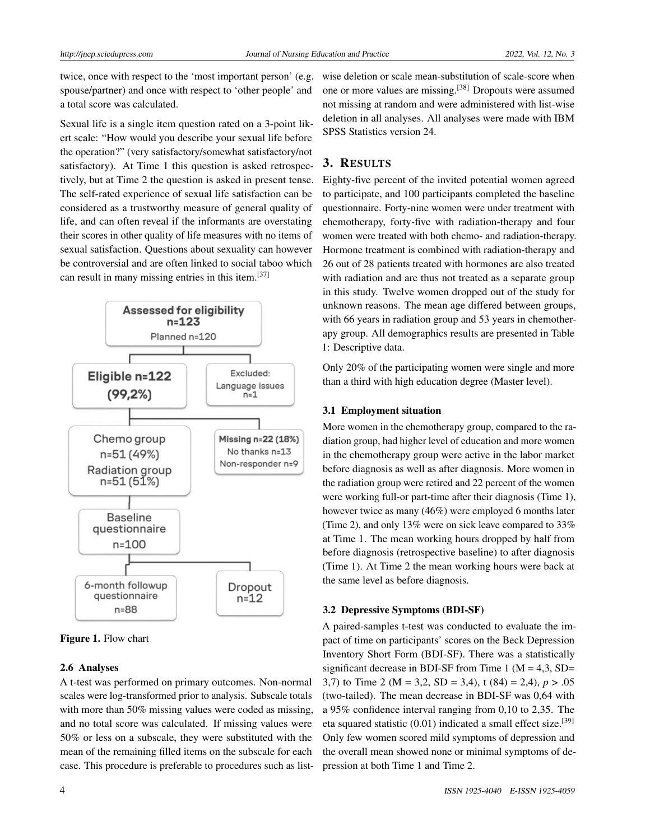twice, once with respect to the 'most important person' (e.g. spouse/partner) and once with respect to 'other people' and a total score was calculated.

Sexual life is a single item question rated on a 3-point likert scale: "How would you describe your sexual life before the operation?" (very satisfactory/somewhat satisfactory/not satisfactory). At Time 1 this question is asked retrospectively, but at Time 2 the question is asked in present tense. The self-rated experience of sexual life satisfaction can be considered as a trustworthy measure of general quality of life, and can often reveal if the informants are overstating their scores in other quality of life measures with no items of sexual satisfaction. Questions about sexuality can however be controversial and are often linked to social taboo which can result in many missing entries in this item.[\[37\]](#page-8-16)



Figure 1. Flow chart

### 2.6 Analyses

A t-test was performed on primary outcomes. Non-normal scales were log-transformed prior to analysis. Subscale totals with more than 50% missing values were coded as missing, and no total score was calculated. If missing values were 50% or less on a subscale, they were substituted with the mean of the remaining filled items on the subscale for each case. This procedure is preferable to procedures such as listwise deletion or scale mean-substitution of scale-score when one or more values are missing.[\[38\]](#page-8-17) Dropouts were assumed not missing at random and were administered with list-wise deletion in all analyses. All analyses were made with IBM SPSS Statistics version 24.

# 3. RESULTS

Eighty-five percent of the invited potential women agreed to participate, and 100 participants completed the baseline questionnaire. Forty-nine women were under treatment with chemotherapy, forty-five with radiation-therapy and four women were treated with both chemo- and radiation-therapy. Hormone treatment is combined with radiation-therapy and 26 out of 28 patients treated with hormones are also treated with radiation and are thus not treated as a separate group in this study. Twelve women dropped out of the study for unknown reasons. The mean age differed between groups, with 66 years in radiation group and 53 years in chemotherapy group. All demographics results are presented in Table 1: Descriptive data.

Only 20% of the participating women were single and more than a third with high education degree (Master level).

### 3.1 Employment situation

More women in the chemotherapy group, compared to the radiation group, had higher level of education and more women in the chemotherapy group were active in the labor market before diagnosis as well as after diagnosis. More women in the radiation group were retired and 22 percent of the women were working full-or part-time after their diagnosis (Time 1), however twice as many (46%) were employed 6 months later (Time 2), and only 13% were on sick leave compared to 33% at Time 1. The mean working hours dropped by half from before diagnosis (retrospective baseline) to after diagnosis (Time 1). At Time 2 the mean working hours were back at the same level as before diagnosis.

### 3.2 Depressive Symptoms (BDI-SF)

A paired-samples t-test was conducted to evaluate the impact of time on participants' scores on the Beck Depression Inventory Short Form (BDI-SF). There was a statistically significant decrease in BDI-SF from Time 1 ( $M = 4,3$ , SD= 3,7) to Time 2 ( $M = 3,2$ ,  $SD = 3,4$ ), t (84) = 2,4),  $p > .05$ (two-tailed). The mean decrease in BDI-SF was 0,64 with a 95% confidence interval ranging from 0,10 to 2,35. The eta squared statistic  $(0.01)$  indicated a small effect size.<sup>[\[39\]](#page-8-18)</sup> Only few women scored mild symptoms of depression and the overall mean showed none or minimal symptoms of depression at both Time 1 and Time 2.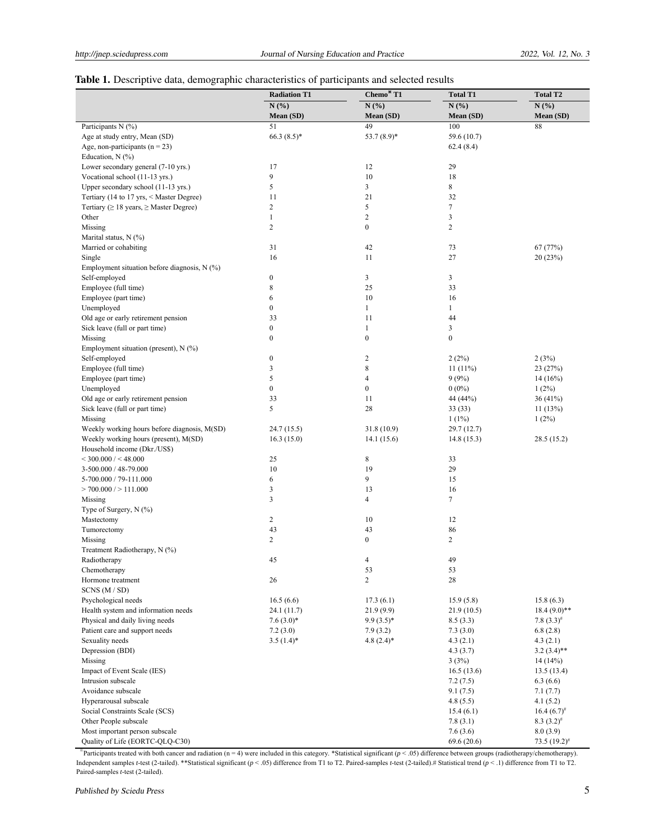# Table 1. Descriptive data, demographic characteristics of participants and selected results

| N(%)<br>N(%)<br>N(%)<br>N(%)<br>Mean (SD)<br>Mean (SD)<br>Mean (SD)<br>Mean (SD)<br>Participants N (%)<br>51<br>49<br>100<br>88<br>Age at study entry, Mean (SD)<br>$66.3(8.5)$ *<br>53.7 (8.9)*<br>59.6 (10.7)<br>Age, non-participants ( $n = 23$ )<br>62.4(8.4)<br>Education, $N$ (%)<br>Lower secondary general (7-10 yrs.)<br>17<br>12<br>29<br>9<br>Vocational school (11-13 yrs.)<br>10<br>18<br>3<br>8<br>Upper secondary school (11-13 yrs.)<br>5<br>21<br>32<br>Tertiary (14 to 17 yrs, < Master Degree)<br>11<br>$\overline{c}$<br>5<br>$\tau$<br>Tertiary ( $\geq 18$ years, $\geq$ Master Degree)<br>$\overline{c}$<br>Other<br>$\mathbf{1}$<br>3<br>$\overline{c}$<br>$\boldsymbol{0}$<br>$\overline{2}$<br>Missing<br>Marital status, N (%)<br>Married or cohabiting<br>31<br>42<br>73<br>67(77%)<br>Single<br>16<br>11<br>27<br>20 (23%)<br>Employment situation before diagnosis, $N$ (%)<br>Self-employed<br>$\boldsymbol{0}$<br>3<br>3<br>8<br>Employee (full time)<br>25<br>33<br>Employee (part time)<br>6<br>10<br>16<br>$\boldsymbol{0}$<br>Unemployed<br>$\mathbf{1}$<br>$\mathbf{1}$<br>Old age or early retirement pension<br>33<br>11<br>44<br>Sick leave (full or part time)<br>0<br>$\mathbf{1}$<br>3<br>$\boldsymbol{0}$<br>$\boldsymbol{0}$<br>$\boldsymbol{0}$<br>Missing<br>Employment situation (present), $N$ (%)<br>$\boldsymbol{0}$<br>Self-employed<br>2<br>2(2%)<br>2(3%)<br>$\,$ 8 $\,$<br>3<br>Employee (full time)<br>11(11%)<br>23 (27%)<br>5<br>Employee (part time)<br>4<br>9(9%)<br>14(16%)<br>Unemployed<br>$\boldsymbol{0}$<br>$\boldsymbol{0}$<br>$0(0\%)$<br>$1(2\%)$<br>Old age or early retirement pension<br>33<br>11<br>44 (44%)<br>36 (41%)<br>5<br>28<br>Sick leave (full or part time)<br>33(33)<br>11(13%)<br>Missing<br>$1(1\%)$<br>$1(2\%)$<br>Weekly working hours before diagnosis, M(SD)<br>24.7(15.5)<br>31.8 (10.9)<br>29.7(12.7)<br>Weekly working hours (present), M(SD)<br>16.3(15.0)<br>14.1(15.6)<br>14.8(15.3)<br>28.5 (15.2)<br>Household income (Dkr./US\$)<br>25<br>8<br>$<$ 300.000 / $<$ 48.000<br>33<br>10<br>19<br>29<br>3-500.000 / 48-79.000<br>6<br>9<br>5-700.000 / 79-111.000<br>15<br>3<br>> 700.000 / > 111.000<br>13<br>16<br>3<br>$\tau$<br>4<br>Missing<br>Type of Surgery, N (%)<br>$\boldsymbol{2}$<br>10<br>12<br>Mastectomy<br>43<br>43<br>86<br>Tumorectomy<br>Missing<br>2<br>0<br>2<br>Treatment Radiotherapy, N (%)<br>45<br>49<br>Radiotherapy<br>4<br>Chemotherapy<br>53<br>53<br>$\overline{c}$<br>28<br>Hormone treatment<br>26<br>SCNS (M / SD)<br>Psychological needs<br>16.5(6.6)<br>17.3(6.1)<br>15.9(5.8)<br>15.8(6.3)<br>Health system and information needs<br>$18.4(9.0)**$<br>24.1 (11.7)<br>21.9(9.9)<br>21.9(10.5)<br>Physical and daily living needs<br>$7.6(3.0)*$<br>$9.9(3.5)*$<br>8.5(3.3)<br>7.8 $(3.3)^{\#}$<br>Patient care and support needs<br>7.2(3.0)<br>7.9(3.2)<br>7.3(3.0)<br>6.8(2.8)<br>Sexuality needs<br>$3.5(1.4)$ *<br>$4.8(2.4)$ *<br>4.3(2.1)<br>4.3(2.1)<br>Depression (BDI)<br>4.3(3.7)<br>$3.2(3.4)$ **<br>Missing<br>3(3%)<br>14 (14%)<br>Impact of Event Scale (IES)<br>16.5(13.6)<br>13.5(13.4)<br>Intrusion subscale<br>7.2(7.5)<br>6.3(6.6)<br>Avoidance subscale<br>9.1(7.5)<br>7.1(7.7)<br>Hyperarousal subscale<br>4.8(5.5)<br>4.1(5.2)<br>Social Constraints Scale (SCS)<br>$16.4(6.7)^{*}$<br>15.4(6.1)<br>Other People subscale<br>7.8(3.1)<br>$8.3(3.2)^{*}$<br>Most important person subscale<br>7.6(3.6)<br>8.0(3.9) |                                 | <b>Radiation T1</b> | Chemo*T1 | <b>Total T1</b> | <b>Total T2</b>    |
|-----------------------------------------------------------------------------------------------------------------------------------------------------------------------------------------------------------------------------------------------------------------------------------------------------------------------------------------------------------------------------------------------------------------------------------------------------------------------------------------------------------------------------------------------------------------------------------------------------------------------------------------------------------------------------------------------------------------------------------------------------------------------------------------------------------------------------------------------------------------------------------------------------------------------------------------------------------------------------------------------------------------------------------------------------------------------------------------------------------------------------------------------------------------------------------------------------------------------------------------------------------------------------------------------------------------------------------------------------------------------------------------------------------------------------------------------------------------------------------------------------------------------------------------------------------------------------------------------------------------------------------------------------------------------------------------------------------------------------------------------------------------------------------------------------------------------------------------------------------------------------------------------------------------------------------------------------------------------------------------------------------------------------------------------------------------------------------------------------------------------------------------------------------------------------------------------------------------------------------------------------------------------------------------------------------------------------------------------------------------------------------------------------------------------------------------------------------------------------------------------------------------------------------------------------------------------------------------------------------------------------------------------------------------------------------------------------------------------------------------------------------------------------------------------------------------------------------------------------------------------------------------------------------------------------------------------------------------------------------------------------------------------------------------------------------------------------------------------------------------------------------------------------------------------------------------------------------------------------------------------------------------------------------------------------------------------------------------------------------------------------------------------------------------------------------------------------------------------------|---------------------------------|---------------------|----------|-----------------|--------------------|
|                                                                                                                                                                                                                                                                                                                                                                                                                                                                                                                                                                                                                                                                                                                                                                                                                                                                                                                                                                                                                                                                                                                                                                                                                                                                                                                                                                                                                                                                                                                                                                                                                                                                                                                                                                                                                                                                                                                                                                                                                                                                                                                                                                                                                                                                                                                                                                                                                                                                                                                                                                                                                                                                                                                                                                                                                                                                                                                                                                                                                                                                                                                                                                                                                                                                                                                                                                                                                                                                             |                                 |                     |          |                 |                    |
|                                                                                                                                                                                                                                                                                                                                                                                                                                                                                                                                                                                                                                                                                                                                                                                                                                                                                                                                                                                                                                                                                                                                                                                                                                                                                                                                                                                                                                                                                                                                                                                                                                                                                                                                                                                                                                                                                                                                                                                                                                                                                                                                                                                                                                                                                                                                                                                                                                                                                                                                                                                                                                                                                                                                                                                                                                                                                                                                                                                                                                                                                                                                                                                                                                                                                                                                                                                                                                                                             |                                 |                     |          |                 |                    |
|                                                                                                                                                                                                                                                                                                                                                                                                                                                                                                                                                                                                                                                                                                                                                                                                                                                                                                                                                                                                                                                                                                                                                                                                                                                                                                                                                                                                                                                                                                                                                                                                                                                                                                                                                                                                                                                                                                                                                                                                                                                                                                                                                                                                                                                                                                                                                                                                                                                                                                                                                                                                                                                                                                                                                                                                                                                                                                                                                                                                                                                                                                                                                                                                                                                                                                                                                                                                                                                                             |                                 |                     |          |                 |                    |
|                                                                                                                                                                                                                                                                                                                                                                                                                                                                                                                                                                                                                                                                                                                                                                                                                                                                                                                                                                                                                                                                                                                                                                                                                                                                                                                                                                                                                                                                                                                                                                                                                                                                                                                                                                                                                                                                                                                                                                                                                                                                                                                                                                                                                                                                                                                                                                                                                                                                                                                                                                                                                                                                                                                                                                                                                                                                                                                                                                                                                                                                                                                                                                                                                                                                                                                                                                                                                                                                             |                                 |                     |          |                 |                    |
|                                                                                                                                                                                                                                                                                                                                                                                                                                                                                                                                                                                                                                                                                                                                                                                                                                                                                                                                                                                                                                                                                                                                                                                                                                                                                                                                                                                                                                                                                                                                                                                                                                                                                                                                                                                                                                                                                                                                                                                                                                                                                                                                                                                                                                                                                                                                                                                                                                                                                                                                                                                                                                                                                                                                                                                                                                                                                                                                                                                                                                                                                                                                                                                                                                                                                                                                                                                                                                                                             |                                 |                     |          |                 |                    |
|                                                                                                                                                                                                                                                                                                                                                                                                                                                                                                                                                                                                                                                                                                                                                                                                                                                                                                                                                                                                                                                                                                                                                                                                                                                                                                                                                                                                                                                                                                                                                                                                                                                                                                                                                                                                                                                                                                                                                                                                                                                                                                                                                                                                                                                                                                                                                                                                                                                                                                                                                                                                                                                                                                                                                                                                                                                                                                                                                                                                                                                                                                                                                                                                                                                                                                                                                                                                                                                                             |                                 |                     |          |                 |                    |
|                                                                                                                                                                                                                                                                                                                                                                                                                                                                                                                                                                                                                                                                                                                                                                                                                                                                                                                                                                                                                                                                                                                                                                                                                                                                                                                                                                                                                                                                                                                                                                                                                                                                                                                                                                                                                                                                                                                                                                                                                                                                                                                                                                                                                                                                                                                                                                                                                                                                                                                                                                                                                                                                                                                                                                                                                                                                                                                                                                                                                                                                                                                                                                                                                                                                                                                                                                                                                                                                             |                                 |                     |          |                 |                    |
|                                                                                                                                                                                                                                                                                                                                                                                                                                                                                                                                                                                                                                                                                                                                                                                                                                                                                                                                                                                                                                                                                                                                                                                                                                                                                                                                                                                                                                                                                                                                                                                                                                                                                                                                                                                                                                                                                                                                                                                                                                                                                                                                                                                                                                                                                                                                                                                                                                                                                                                                                                                                                                                                                                                                                                                                                                                                                                                                                                                                                                                                                                                                                                                                                                                                                                                                                                                                                                                                             |                                 |                     |          |                 |                    |
|                                                                                                                                                                                                                                                                                                                                                                                                                                                                                                                                                                                                                                                                                                                                                                                                                                                                                                                                                                                                                                                                                                                                                                                                                                                                                                                                                                                                                                                                                                                                                                                                                                                                                                                                                                                                                                                                                                                                                                                                                                                                                                                                                                                                                                                                                                                                                                                                                                                                                                                                                                                                                                                                                                                                                                                                                                                                                                                                                                                                                                                                                                                                                                                                                                                                                                                                                                                                                                                                             |                                 |                     |          |                 |                    |
|                                                                                                                                                                                                                                                                                                                                                                                                                                                                                                                                                                                                                                                                                                                                                                                                                                                                                                                                                                                                                                                                                                                                                                                                                                                                                                                                                                                                                                                                                                                                                                                                                                                                                                                                                                                                                                                                                                                                                                                                                                                                                                                                                                                                                                                                                                                                                                                                                                                                                                                                                                                                                                                                                                                                                                                                                                                                                                                                                                                                                                                                                                                                                                                                                                                                                                                                                                                                                                                                             |                                 |                     |          |                 |                    |
|                                                                                                                                                                                                                                                                                                                                                                                                                                                                                                                                                                                                                                                                                                                                                                                                                                                                                                                                                                                                                                                                                                                                                                                                                                                                                                                                                                                                                                                                                                                                                                                                                                                                                                                                                                                                                                                                                                                                                                                                                                                                                                                                                                                                                                                                                                                                                                                                                                                                                                                                                                                                                                                                                                                                                                                                                                                                                                                                                                                                                                                                                                                                                                                                                                                                                                                                                                                                                                                                             |                                 |                     |          |                 |                    |
|                                                                                                                                                                                                                                                                                                                                                                                                                                                                                                                                                                                                                                                                                                                                                                                                                                                                                                                                                                                                                                                                                                                                                                                                                                                                                                                                                                                                                                                                                                                                                                                                                                                                                                                                                                                                                                                                                                                                                                                                                                                                                                                                                                                                                                                                                                                                                                                                                                                                                                                                                                                                                                                                                                                                                                                                                                                                                                                                                                                                                                                                                                                                                                                                                                                                                                                                                                                                                                                                             |                                 |                     |          |                 |                    |
|                                                                                                                                                                                                                                                                                                                                                                                                                                                                                                                                                                                                                                                                                                                                                                                                                                                                                                                                                                                                                                                                                                                                                                                                                                                                                                                                                                                                                                                                                                                                                                                                                                                                                                                                                                                                                                                                                                                                                                                                                                                                                                                                                                                                                                                                                                                                                                                                                                                                                                                                                                                                                                                                                                                                                                                                                                                                                                                                                                                                                                                                                                                                                                                                                                                                                                                                                                                                                                                                             |                                 |                     |          |                 |                    |
|                                                                                                                                                                                                                                                                                                                                                                                                                                                                                                                                                                                                                                                                                                                                                                                                                                                                                                                                                                                                                                                                                                                                                                                                                                                                                                                                                                                                                                                                                                                                                                                                                                                                                                                                                                                                                                                                                                                                                                                                                                                                                                                                                                                                                                                                                                                                                                                                                                                                                                                                                                                                                                                                                                                                                                                                                                                                                                                                                                                                                                                                                                                                                                                                                                                                                                                                                                                                                                                                             |                                 |                     |          |                 |                    |
|                                                                                                                                                                                                                                                                                                                                                                                                                                                                                                                                                                                                                                                                                                                                                                                                                                                                                                                                                                                                                                                                                                                                                                                                                                                                                                                                                                                                                                                                                                                                                                                                                                                                                                                                                                                                                                                                                                                                                                                                                                                                                                                                                                                                                                                                                                                                                                                                                                                                                                                                                                                                                                                                                                                                                                                                                                                                                                                                                                                                                                                                                                                                                                                                                                                                                                                                                                                                                                                                             |                                 |                     |          |                 |                    |
|                                                                                                                                                                                                                                                                                                                                                                                                                                                                                                                                                                                                                                                                                                                                                                                                                                                                                                                                                                                                                                                                                                                                                                                                                                                                                                                                                                                                                                                                                                                                                                                                                                                                                                                                                                                                                                                                                                                                                                                                                                                                                                                                                                                                                                                                                                                                                                                                                                                                                                                                                                                                                                                                                                                                                                                                                                                                                                                                                                                                                                                                                                                                                                                                                                                                                                                                                                                                                                                                             |                                 |                     |          |                 |                    |
|                                                                                                                                                                                                                                                                                                                                                                                                                                                                                                                                                                                                                                                                                                                                                                                                                                                                                                                                                                                                                                                                                                                                                                                                                                                                                                                                                                                                                                                                                                                                                                                                                                                                                                                                                                                                                                                                                                                                                                                                                                                                                                                                                                                                                                                                                                                                                                                                                                                                                                                                                                                                                                                                                                                                                                                                                                                                                                                                                                                                                                                                                                                                                                                                                                                                                                                                                                                                                                                                             |                                 |                     |          |                 |                    |
|                                                                                                                                                                                                                                                                                                                                                                                                                                                                                                                                                                                                                                                                                                                                                                                                                                                                                                                                                                                                                                                                                                                                                                                                                                                                                                                                                                                                                                                                                                                                                                                                                                                                                                                                                                                                                                                                                                                                                                                                                                                                                                                                                                                                                                                                                                                                                                                                                                                                                                                                                                                                                                                                                                                                                                                                                                                                                                                                                                                                                                                                                                                                                                                                                                                                                                                                                                                                                                                                             |                                 |                     |          |                 |                    |
|                                                                                                                                                                                                                                                                                                                                                                                                                                                                                                                                                                                                                                                                                                                                                                                                                                                                                                                                                                                                                                                                                                                                                                                                                                                                                                                                                                                                                                                                                                                                                                                                                                                                                                                                                                                                                                                                                                                                                                                                                                                                                                                                                                                                                                                                                                                                                                                                                                                                                                                                                                                                                                                                                                                                                                                                                                                                                                                                                                                                                                                                                                                                                                                                                                                                                                                                                                                                                                                                             |                                 |                     |          |                 |                    |
|                                                                                                                                                                                                                                                                                                                                                                                                                                                                                                                                                                                                                                                                                                                                                                                                                                                                                                                                                                                                                                                                                                                                                                                                                                                                                                                                                                                                                                                                                                                                                                                                                                                                                                                                                                                                                                                                                                                                                                                                                                                                                                                                                                                                                                                                                                                                                                                                                                                                                                                                                                                                                                                                                                                                                                                                                                                                                                                                                                                                                                                                                                                                                                                                                                                                                                                                                                                                                                                                             |                                 |                     |          |                 |                    |
|                                                                                                                                                                                                                                                                                                                                                                                                                                                                                                                                                                                                                                                                                                                                                                                                                                                                                                                                                                                                                                                                                                                                                                                                                                                                                                                                                                                                                                                                                                                                                                                                                                                                                                                                                                                                                                                                                                                                                                                                                                                                                                                                                                                                                                                                                                                                                                                                                                                                                                                                                                                                                                                                                                                                                                                                                                                                                                                                                                                                                                                                                                                                                                                                                                                                                                                                                                                                                                                                             |                                 |                     |          |                 |                    |
|                                                                                                                                                                                                                                                                                                                                                                                                                                                                                                                                                                                                                                                                                                                                                                                                                                                                                                                                                                                                                                                                                                                                                                                                                                                                                                                                                                                                                                                                                                                                                                                                                                                                                                                                                                                                                                                                                                                                                                                                                                                                                                                                                                                                                                                                                                                                                                                                                                                                                                                                                                                                                                                                                                                                                                                                                                                                                                                                                                                                                                                                                                                                                                                                                                                                                                                                                                                                                                                                             |                                 |                     |          |                 |                    |
|                                                                                                                                                                                                                                                                                                                                                                                                                                                                                                                                                                                                                                                                                                                                                                                                                                                                                                                                                                                                                                                                                                                                                                                                                                                                                                                                                                                                                                                                                                                                                                                                                                                                                                                                                                                                                                                                                                                                                                                                                                                                                                                                                                                                                                                                                                                                                                                                                                                                                                                                                                                                                                                                                                                                                                                                                                                                                                                                                                                                                                                                                                                                                                                                                                                                                                                                                                                                                                                                             |                                 |                     |          |                 |                    |
|                                                                                                                                                                                                                                                                                                                                                                                                                                                                                                                                                                                                                                                                                                                                                                                                                                                                                                                                                                                                                                                                                                                                                                                                                                                                                                                                                                                                                                                                                                                                                                                                                                                                                                                                                                                                                                                                                                                                                                                                                                                                                                                                                                                                                                                                                                                                                                                                                                                                                                                                                                                                                                                                                                                                                                                                                                                                                                                                                                                                                                                                                                                                                                                                                                                                                                                                                                                                                                                                             |                                 |                     |          |                 |                    |
|                                                                                                                                                                                                                                                                                                                                                                                                                                                                                                                                                                                                                                                                                                                                                                                                                                                                                                                                                                                                                                                                                                                                                                                                                                                                                                                                                                                                                                                                                                                                                                                                                                                                                                                                                                                                                                                                                                                                                                                                                                                                                                                                                                                                                                                                                                                                                                                                                                                                                                                                                                                                                                                                                                                                                                                                                                                                                                                                                                                                                                                                                                                                                                                                                                                                                                                                                                                                                                                                             |                                 |                     |          |                 |                    |
|                                                                                                                                                                                                                                                                                                                                                                                                                                                                                                                                                                                                                                                                                                                                                                                                                                                                                                                                                                                                                                                                                                                                                                                                                                                                                                                                                                                                                                                                                                                                                                                                                                                                                                                                                                                                                                                                                                                                                                                                                                                                                                                                                                                                                                                                                                                                                                                                                                                                                                                                                                                                                                                                                                                                                                                                                                                                                                                                                                                                                                                                                                                                                                                                                                                                                                                                                                                                                                                                             |                                 |                     |          |                 |                    |
|                                                                                                                                                                                                                                                                                                                                                                                                                                                                                                                                                                                                                                                                                                                                                                                                                                                                                                                                                                                                                                                                                                                                                                                                                                                                                                                                                                                                                                                                                                                                                                                                                                                                                                                                                                                                                                                                                                                                                                                                                                                                                                                                                                                                                                                                                                                                                                                                                                                                                                                                                                                                                                                                                                                                                                                                                                                                                                                                                                                                                                                                                                                                                                                                                                                                                                                                                                                                                                                                             |                                 |                     |          |                 |                    |
|                                                                                                                                                                                                                                                                                                                                                                                                                                                                                                                                                                                                                                                                                                                                                                                                                                                                                                                                                                                                                                                                                                                                                                                                                                                                                                                                                                                                                                                                                                                                                                                                                                                                                                                                                                                                                                                                                                                                                                                                                                                                                                                                                                                                                                                                                                                                                                                                                                                                                                                                                                                                                                                                                                                                                                                                                                                                                                                                                                                                                                                                                                                                                                                                                                                                                                                                                                                                                                                                             |                                 |                     |          |                 |                    |
|                                                                                                                                                                                                                                                                                                                                                                                                                                                                                                                                                                                                                                                                                                                                                                                                                                                                                                                                                                                                                                                                                                                                                                                                                                                                                                                                                                                                                                                                                                                                                                                                                                                                                                                                                                                                                                                                                                                                                                                                                                                                                                                                                                                                                                                                                                                                                                                                                                                                                                                                                                                                                                                                                                                                                                                                                                                                                                                                                                                                                                                                                                                                                                                                                                                                                                                                                                                                                                                                             |                                 |                     |          |                 |                    |
|                                                                                                                                                                                                                                                                                                                                                                                                                                                                                                                                                                                                                                                                                                                                                                                                                                                                                                                                                                                                                                                                                                                                                                                                                                                                                                                                                                                                                                                                                                                                                                                                                                                                                                                                                                                                                                                                                                                                                                                                                                                                                                                                                                                                                                                                                                                                                                                                                                                                                                                                                                                                                                                                                                                                                                                                                                                                                                                                                                                                                                                                                                                                                                                                                                                                                                                                                                                                                                                                             |                                 |                     |          |                 |                    |
|                                                                                                                                                                                                                                                                                                                                                                                                                                                                                                                                                                                                                                                                                                                                                                                                                                                                                                                                                                                                                                                                                                                                                                                                                                                                                                                                                                                                                                                                                                                                                                                                                                                                                                                                                                                                                                                                                                                                                                                                                                                                                                                                                                                                                                                                                                                                                                                                                                                                                                                                                                                                                                                                                                                                                                                                                                                                                                                                                                                                                                                                                                                                                                                                                                                                                                                                                                                                                                                                             |                                 |                     |          |                 |                    |
|                                                                                                                                                                                                                                                                                                                                                                                                                                                                                                                                                                                                                                                                                                                                                                                                                                                                                                                                                                                                                                                                                                                                                                                                                                                                                                                                                                                                                                                                                                                                                                                                                                                                                                                                                                                                                                                                                                                                                                                                                                                                                                                                                                                                                                                                                                                                                                                                                                                                                                                                                                                                                                                                                                                                                                                                                                                                                                                                                                                                                                                                                                                                                                                                                                                                                                                                                                                                                                                                             |                                 |                     |          |                 |                    |
|                                                                                                                                                                                                                                                                                                                                                                                                                                                                                                                                                                                                                                                                                                                                                                                                                                                                                                                                                                                                                                                                                                                                                                                                                                                                                                                                                                                                                                                                                                                                                                                                                                                                                                                                                                                                                                                                                                                                                                                                                                                                                                                                                                                                                                                                                                                                                                                                                                                                                                                                                                                                                                                                                                                                                                                                                                                                                                                                                                                                                                                                                                                                                                                                                                                                                                                                                                                                                                                                             |                                 |                     |          |                 |                    |
|                                                                                                                                                                                                                                                                                                                                                                                                                                                                                                                                                                                                                                                                                                                                                                                                                                                                                                                                                                                                                                                                                                                                                                                                                                                                                                                                                                                                                                                                                                                                                                                                                                                                                                                                                                                                                                                                                                                                                                                                                                                                                                                                                                                                                                                                                                                                                                                                                                                                                                                                                                                                                                                                                                                                                                                                                                                                                                                                                                                                                                                                                                                                                                                                                                                                                                                                                                                                                                                                             |                                 |                     |          |                 |                    |
|                                                                                                                                                                                                                                                                                                                                                                                                                                                                                                                                                                                                                                                                                                                                                                                                                                                                                                                                                                                                                                                                                                                                                                                                                                                                                                                                                                                                                                                                                                                                                                                                                                                                                                                                                                                                                                                                                                                                                                                                                                                                                                                                                                                                                                                                                                                                                                                                                                                                                                                                                                                                                                                                                                                                                                                                                                                                                                                                                                                                                                                                                                                                                                                                                                                                                                                                                                                                                                                                             |                                 |                     |          |                 |                    |
|                                                                                                                                                                                                                                                                                                                                                                                                                                                                                                                                                                                                                                                                                                                                                                                                                                                                                                                                                                                                                                                                                                                                                                                                                                                                                                                                                                                                                                                                                                                                                                                                                                                                                                                                                                                                                                                                                                                                                                                                                                                                                                                                                                                                                                                                                                                                                                                                                                                                                                                                                                                                                                                                                                                                                                                                                                                                                                                                                                                                                                                                                                                                                                                                                                                                                                                                                                                                                                                                             |                                 |                     |          |                 |                    |
|                                                                                                                                                                                                                                                                                                                                                                                                                                                                                                                                                                                                                                                                                                                                                                                                                                                                                                                                                                                                                                                                                                                                                                                                                                                                                                                                                                                                                                                                                                                                                                                                                                                                                                                                                                                                                                                                                                                                                                                                                                                                                                                                                                                                                                                                                                                                                                                                                                                                                                                                                                                                                                                                                                                                                                                                                                                                                                                                                                                                                                                                                                                                                                                                                                                                                                                                                                                                                                                                             |                                 |                     |          |                 |                    |
|                                                                                                                                                                                                                                                                                                                                                                                                                                                                                                                                                                                                                                                                                                                                                                                                                                                                                                                                                                                                                                                                                                                                                                                                                                                                                                                                                                                                                                                                                                                                                                                                                                                                                                                                                                                                                                                                                                                                                                                                                                                                                                                                                                                                                                                                                                                                                                                                                                                                                                                                                                                                                                                                                                                                                                                                                                                                                                                                                                                                                                                                                                                                                                                                                                                                                                                                                                                                                                                                             |                                 |                     |          |                 |                    |
|                                                                                                                                                                                                                                                                                                                                                                                                                                                                                                                                                                                                                                                                                                                                                                                                                                                                                                                                                                                                                                                                                                                                                                                                                                                                                                                                                                                                                                                                                                                                                                                                                                                                                                                                                                                                                                                                                                                                                                                                                                                                                                                                                                                                                                                                                                                                                                                                                                                                                                                                                                                                                                                                                                                                                                                                                                                                                                                                                                                                                                                                                                                                                                                                                                                                                                                                                                                                                                                                             |                                 |                     |          |                 |                    |
|                                                                                                                                                                                                                                                                                                                                                                                                                                                                                                                                                                                                                                                                                                                                                                                                                                                                                                                                                                                                                                                                                                                                                                                                                                                                                                                                                                                                                                                                                                                                                                                                                                                                                                                                                                                                                                                                                                                                                                                                                                                                                                                                                                                                                                                                                                                                                                                                                                                                                                                                                                                                                                                                                                                                                                                                                                                                                                                                                                                                                                                                                                                                                                                                                                                                                                                                                                                                                                                                             |                                 |                     |          |                 |                    |
|                                                                                                                                                                                                                                                                                                                                                                                                                                                                                                                                                                                                                                                                                                                                                                                                                                                                                                                                                                                                                                                                                                                                                                                                                                                                                                                                                                                                                                                                                                                                                                                                                                                                                                                                                                                                                                                                                                                                                                                                                                                                                                                                                                                                                                                                                                                                                                                                                                                                                                                                                                                                                                                                                                                                                                                                                                                                                                                                                                                                                                                                                                                                                                                                                                                                                                                                                                                                                                                                             |                                 |                     |          |                 |                    |
|                                                                                                                                                                                                                                                                                                                                                                                                                                                                                                                                                                                                                                                                                                                                                                                                                                                                                                                                                                                                                                                                                                                                                                                                                                                                                                                                                                                                                                                                                                                                                                                                                                                                                                                                                                                                                                                                                                                                                                                                                                                                                                                                                                                                                                                                                                                                                                                                                                                                                                                                                                                                                                                                                                                                                                                                                                                                                                                                                                                                                                                                                                                                                                                                                                                                                                                                                                                                                                                                             |                                 |                     |          |                 |                    |
|                                                                                                                                                                                                                                                                                                                                                                                                                                                                                                                                                                                                                                                                                                                                                                                                                                                                                                                                                                                                                                                                                                                                                                                                                                                                                                                                                                                                                                                                                                                                                                                                                                                                                                                                                                                                                                                                                                                                                                                                                                                                                                                                                                                                                                                                                                                                                                                                                                                                                                                                                                                                                                                                                                                                                                                                                                                                                                                                                                                                                                                                                                                                                                                                                                                                                                                                                                                                                                                                             |                                 |                     |          |                 |                    |
|                                                                                                                                                                                                                                                                                                                                                                                                                                                                                                                                                                                                                                                                                                                                                                                                                                                                                                                                                                                                                                                                                                                                                                                                                                                                                                                                                                                                                                                                                                                                                                                                                                                                                                                                                                                                                                                                                                                                                                                                                                                                                                                                                                                                                                                                                                                                                                                                                                                                                                                                                                                                                                                                                                                                                                                                                                                                                                                                                                                                                                                                                                                                                                                                                                                                                                                                                                                                                                                                             |                                 |                     |          |                 |                    |
|                                                                                                                                                                                                                                                                                                                                                                                                                                                                                                                                                                                                                                                                                                                                                                                                                                                                                                                                                                                                                                                                                                                                                                                                                                                                                                                                                                                                                                                                                                                                                                                                                                                                                                                                                                                                                                                                                                                                                                                                                                                                                                                                                                                                                                                                                                                                                                                                                                                                                                                                                                                                                                                                                                                                                                                                                                                                                                                                                                                                                                                                                                                                                                                                                                                                                                                                                                                                                                                                             |                                 |                     |          |                 |                    |
|                                                                                                                                                                                                                                                                                                                                                                                                                                                                                                                                                                                                                                                                                                                                                                                                                                                                                                                                                                                                                                                                                                                                                                                                                                                                                                                                                                                                                                                                                                                                                                                                                                                                                                                                                                                                                                                                                                                                                                                                                                                                                                                                                                                                                                                                                                                                                                                                                                                                                                                                                                                                                                                                                                                                                                                                                                                                                                                                                                                                                                                                                                                                                                                                                                                                                                                                                                                                                                                                             |                                 |                     |          |                 |                    |
|                                                                                                                                                                                                                                                                                                                                                                                                                                                                                                                                                                                                                                                                                                                                                                                                                                                                                                                                                                                                                                                                                                                                                                                                                                                                                                                                                                                                                                                                                                                                                                                                                                                                                                                                                                                                                                                                                                                                                                                                                                                                                                                                                                                                                                                                                                                                                                                                                                                                                                                                                                                                                                                                                                                                                                                                                                                                                                                                                                                                                                                                                                                                                                                                                                                                                                                                                                                                                                                                             |                                 |                     |          |                 |                    |
|                                                                                                                                                                                                                                                                                                                                                                                                                                                                                                                                                                                                                                                                                                                                                                                                                                                                                                                                                                                                                                                                                                                                                                                                                                                                                                                                                                                                                                                                                                                                                                                                                                                                                                                                                                                                                                                                                                                                                                                                                                                                                                                                                                                                                                                                                                                                                                                                                                                                                                                                                                                                                                                                                                                                                                                                                                                                                                                                                                                                                                                                                                                                                                                                                                                                                                                                                                                                                                                                             |                                 |                     |          |                 |                    |
|                                                                                                                                                                                                                                                                                                                                                                                                                                                                                                                                                                                                                                                                                                                                                                                                                                                                                                                                                                                                                                                                                                                                                                                                                                                                                                                                                                                                                                                                                                                                                                                                                                                                                                                                                                                                                                                                                                                                                                                                                                                                                                                                                                                                                                                                                                                                                                                                                                                                                                                                                                                                                                                                                                                                                                                                                                                                                                                                                                                                                                                                                                                                                                                                                                                                                                                                                                                                                                                                             |                                 |                     |          |                 |                    |
|                                                                                                                                                                                                                                                                                                                                                                                                                                                                                                                                                                                                                                                                                                                                                                                                                                                                                                                                                                                                                                                                                                                                                                                                                                                                                                                                                                                                                                                                                                                                                                                                                                                                                                                                                                                                                                                                                                                                                                                                                                                                                                                                                                                                                                                                                                                                                                                                                                                                                                                                                                                                                                                                                                                                                                                                                                                                                                                                                                                                                                                                                                                                                                                                                                                                                                                                                                                                                                                                             |                                 |                     |          |                 |                    |
|                                                                                                                                                                                                                                                                                                                                                                                                                                                                                                                                                                                                                                                                                                                                                                                                                                                                                                                                                                                                                                                                                                                                                                                                                                                                                                                                                                                                                                                                                                                                                                                                                                                                                                                                                                                                                                                                                                                                                                                                                                                                                                                                                                                                                                                                                                                                                                                                                                                                                                                                                                                                                                                                                                                                                                                                                                                                                                                                                                                                                                                                                                                                                                                                                                                                                                                                                                                                                                                                             |                                 |                     |          |                 |                    |
|                                                                                                                                                                                                                                                                                                                                                                                                                                                                                                                                                                                                                                                                                                                                                                                                                                                                                                                                                                                                                                                                                                                                                                                                                                                                                                                                                                                                                                                                                                                                                                                                                                                                                                                                                                                                                                                                                                                                                                                                                                                                                                                                                                                                                                                                                                                                                                                                                                                                                                                                                                                                                                                                                                                                                                                                                                                                                                                                                                                                                                                                                                                                                                                                                                                                                                                                                                                                                                                                             |                                 |                     |          |                 |                    |
|                                                                                                                                                                                                                                                                                                                                                                                                                                                                                                                                                                                                                                                                                                                                                                                                                                                                                                                                                                                                                                                                                                                                                                                                                                                                                                                                                                                                                                                                                                                                                                                                                                                                                                                                                                                                                                                                                                                                                                                                                                                                                                                                                                                                                                                                                                                                                                                                                                                                                                                                                                                                                                                                                                                                                                                                                                                                                                                                                                                                                                                                                                                                                                                                                                                                                                                                                                                                                                                                             |                                 |                     |          |                 |                    |
|                                                                                                                                                                                                                                                                                                                                                                                                                                                                                                                                                                                                                                                                                                                                                                                                                                                                                                                                                                                                                                                                                                                                                                                                                                                                                                                                                                                                                                                                                                                                                                                                                                                                                                                                                                                                                                                                                                                                                                                                                                                                                                                                                                                                                                                                                                                                                                                                                                                                                                                                                                                                                                                                                                                                                                                                                                                                                                                                                                                                                                                                                                                                                                                                                                                                                                                                                                                                                                                                             |                                 |                     |          |                 |                    |
|                                                                                                                                                                                                                                                                                                                                                                                                                                                                                                                                                                                                                                                                                                                                                                                                                                                                                                                                                                                                                                                                                                                                                                                                                                                                                                                                                                                                                                                                                                                                                                                                                                                                                                                                                                                                                                                                                                                                                                                                                                                                                                                                                                                                                                                                                                                                                                                                                                                                                                                                                                                                                                                                                                                                                                                                                                                                                                                                                                                                                                                                                                                                                                                                                                                                                                                                                                                                                                                                             |                                 |                     |          |                 |                    |
|                                                                                                                                                                                                                                                                                                                                                                                                                                                                                                                                                                                                                                                                                                                                                                                                                                                                                                                                                                                                                                                                                                                                                                                                                                                                                                                                                                                                                                                                                                                                                                                                                                                                                                                                                                                                                                                                                                                                                                                                                                                                                                                                                                                                                                                                                                                                                                                                                                                                                                                                                                                                                                                                                                                                                                                                                                                                                                                                                                                                                                                                                                                                                                                                                                                                                                                                                                                                                                                                             |                                 |                     |          |                 |                    |
|                                                                                                                                                                                                                                                                                                                                                                                                                                                                                                                                                                                                                                                                                                                                                                                                                                                                                                                                                                                                                                                                                                                                                                                                                                                                                                                                                                                                                                                                                                                                                                                                                                                                                                                                                                                                                                                                                                                                                                                                                                                                                                                                                                                                                                                                                                                                                                                                                                                                                                                                                                                                                                                                                                                                                                                                                                                                                                                                                                                                                                                                                                                                                                                                                                                                                                                                                                                                                                                                             |                                 |                     |          |                 |                    |
|                                                                                                                                                                                                                                                                                                                                                                                                                                                                                                                                                                                                                                                                                                                                                                                                                                                                                                                                                                                                                                                                                                                                                                                                                                                                                                                                                                                                                                                                                                                                                                                                                                                                                                                                                                                                                                                                                                                                                                                                                                                                                                                                                                                                                                                                                                                                                                                                                                                                                                                                                                                                                                                                                                                                                                                                                                                                                                                                                                                                                                                                                                                                                                                                                                                                                                                                                                                                                                                                             |                                 |                     |          |                 |                    |
|                                                                                                                                                                                                                                                                                                                                                                                                                                                                                                                                                                                                                                                                                                                                                                                                                                                                                                                                                                                                                                                                                                                                                                                                                                                                                                                                                                                                                                                                                                                                                                                                                                                                                                                                                                                                                                                                                                                                                                                                                                                                                                                                                                                                                                                                                                                                                                                                                                                                                                                                                                                                                                                                                                                                                                                                                                                                                                                                                                                                                                                                                                                                                                                                                                                                                                                                                                                                                                                                             |                                 |                     |          |                 |                    |
|                                                                                                                                                                                                                                                                                                                                                                                                                                                                                                                                                                                                                                                                                                                                                                                                                                                                                                                                                                                                                                                                                                                                                                                                                                                                                                                                                                                                                                                                                                                                                                                                                                                                                                                                                                                                                                                                                                                                                                                                                                                                                                                                                                                                                                                                                                                                                                                                                                                                                                                                                                                                                                                                                                                                                                                                                                                                                                                                                                                                                                                                                                                                                                                                                                                                                                                                                                                                                                                                             |                                 |                     |          |                 |                    |
|                                                                                                                                                                                                                                                                                                                                                                                                                                                                                                                                                                                                                                                                                                                                                                                                                                                                                                                                                                                                                                                                                                                                                                                                                                                                                                                                                                                                                                                                                                                                                                                                                                                                                                                                                                                                                                                                                                                                                                                                                                                                                                                                                                                                                                                                                                                                                                                                                                                                                                                                                                                                                                                                                                                                                                                                                                                                                                                                                                                                                                                                                                                                                                                                                                                                                                                                                                                                                                                                             |                                 |                     |          |                 |                    |
|                                                                                                                                                                                                                                                                                                                                                                                                                                                                                                                                                                                                                                                                                                                                                                                                                                                                                                                                                                                                                                                                                                                                                                                                                                                                                                                                                                                                                                                                                                                                                                                                                                                                                                                                                                                                                                                                                                                                                                                                                                                                                                                                                                                                                                                                                                                                                                                                                                                                                                                                                                                                                                                                                                                                                                                                                                                                                                                                                                                                                                                                                                                                                                                                                                                                                                                                                                                                                                                                             | Quality of Life (EORTC-QLQ-C30) |                     |          | 69.6(20.6)      | 73.5 $(19.2)^{\#}$ |

※ Participants treated with both cancer and radiation (n = 4) were included in this category. \*Statistical significant (*p* < .05) difference between groups (radiotherapy/chemotherapy). Independent samples *t*-test (2-tailed). \*\*Statistical significant (*p* < .05) difference from T1 to T2. Paired-samples *t*-test (2-tailed).# Statistical trend (*p* < .1) difference from T1 to T2. Paired-samples *t*-test (2-tailed).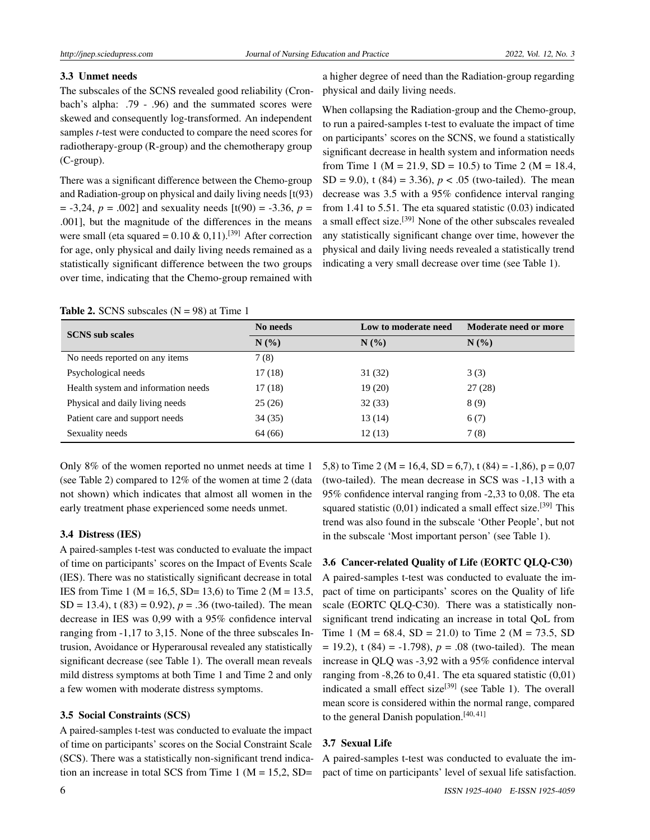# 3.3 Unmet needs

The subscales of the SCNS revealed good reliability (Cronbach's alpha: .79 - .96) and the summated scores were skewed and consequently log-transformed. An independent samples *t*-test were conducted to compare the need scores for radiotherapy-group (R-group) and the chemotherapy group (C-group).

There was a significant difference between the Chemo-group and Radiation-group on physical and daily living needs [t(93)  $=$  -3,24,  $p = .002$ ] and sexuality needs  $[t(90) = -3.36, p =$ .001], but the magnitude of the differences in the means were small (eta squared =  $0.10 \& 0.11$ ).<sup>[\[39\]](#page-8-18)</sup> After correction for age, only physical and daily living needs remained as a statistically significant difference between the two groups over time, indicating that the Chemo-group remained with a higher degree of need than the Radiation-group regarding physical and daily living needs.

When collapsing the Radiation-group and the Chemo-group, to run a paired-samples t-test to evaluate the impact of time on participants' scores on the SCNS, we found a statistically significant decrease in health system and information needs from Time 1 (M = 21.9, SD = 10.5) to Time 2 (M = 18.4, SD = 9.0), t (84) = 3.36),  $p < .05$  (two-tailed). The mean decrease was 3.5 with a 95% confidence interval ranging from 1.41 to 5.51. The eta squared statistic (0.03) indicated a small effect size.[\[39\]](#page-8-18) None of the other subscales revealed any statistically significant change over time, however the physical and daily living needs revealed a statistically trend indicating a very small decrease over time (see Table 1).

| <b>SCNS</b> sub scales              | No needs | Low to moderate need | Moderate need or more |  |
|-------------------------------------|----------|----------------------|-----------------------|--|
|                                     | N(%)     | N(%                  | N(%                   |  |
| No needs reported on any items      | 7(8)     |                      |                       |  |
| Psychological needs                 | 17(18)   | 31(32)               | 3(3)                  |  |
| Health system and information needs | 17(18)   | 19(20)               | 27(28)                |  |
| Physical and daily living needs     | 25(26)   | 32(33)               | 8(9)                  |  |
| Patient care and support needs      | 34(35)   | 13 (14)              | 6(7)                  |  |
| Sexuality needs                     | 64 (66)  | 12(13)               | 7(8)                  |  |

### **Table 2.** SCNS subscales  $(N = 98)$  at Time 1

Only 8% of the women reported no unmet needs at time 1 (see Table 2) compared to 12% of the women at time 2 (data not shown) which indicates that almost all women in the early treatment phase experienced some needs unmet.

# 3.4 Distress (IES)

A paired-samples t-test was conducted to evaluate the impact of time on participants' scores on the Impact of Events Scale (IES). There was no statistically significant decrease in total IES from Time 1 ( $M = 16,5$ , SD= 13,6) to Time 2 ( $M = 13.5$ , SD = 13.4),  $t(83) = 0.92$ ,  $p = .36$  (two-tailed). The mean decrease in IES was 0,99 with a 95% confidence interval ranging from -1,17 to 3,15. None of the three subscales Intrusion, Avoidance or Hyperarousal revealed any statistically significant decrease (see Table 1). The overall mean reveals mild distress symptoms at both Time 1 and Time 2 and only a few women with moderate distress symptoms.

# 3.5 Social Constraints (SCS)

A paired-samples t-test was conducted to evaluate the impact of time on participants' scores on the Social Constraint Scale (SCS). There was a statistically non-significant trend indication an increase in total SCS from Time 1 ( $M = 15,2$ , SD=

5,8) to Time 2 (M = 16,4, SD = 6,7), t (84) = -1,86),  $p = 0.07$ (two-tailed). The mean decrease in SCS was -1,13 with a 95% confidence interval ranging from -2,33 to 0,08. The eta squared statistic  $(0,01)$  indicated a small effect size.<sup>[\[39\]](#page-8-18)</sup> This trend was also found in the subscale 'Other People', but not in the subscale 'Most important person' (see Table 1).

# 3.6 Cancer-related Quality of Life (EORTC QLQ-C30)

A paired-samples t-test was conducted to evaluate the impact of time on participants' scores on the Quality of life scale (EORTC QLQ-C30). There was a statistically nonsignificant trend indicating an increase in total QoL from Time 1 ( $M = 68.4$ ,  $SD = 21.0$ ) to Time 2 ( $M = 73.5$ , SD  $= 19.2$ ), t (84) = -1.798),  $p = .08$  (two-tailed). The mean increase in QLQ was -3,92 with a 95% confidence interval ranging from  $-8,26$  to 0,41. The eta squared statistic  $(0,01)$ indicated a small effect size<sup>[\[39\]](#page-8-18)</sup> (see Table 1). The overall mean score is considered within the normal range, compared to the general Danish population.<sup>[\[40,](#page-8-19) [41\]](#page-8-20)</sup>

# 3.7 Sexual Life

A paired-samples t-test was conducted to evaluate the impact of time on participants' level of sexual life satisfaction.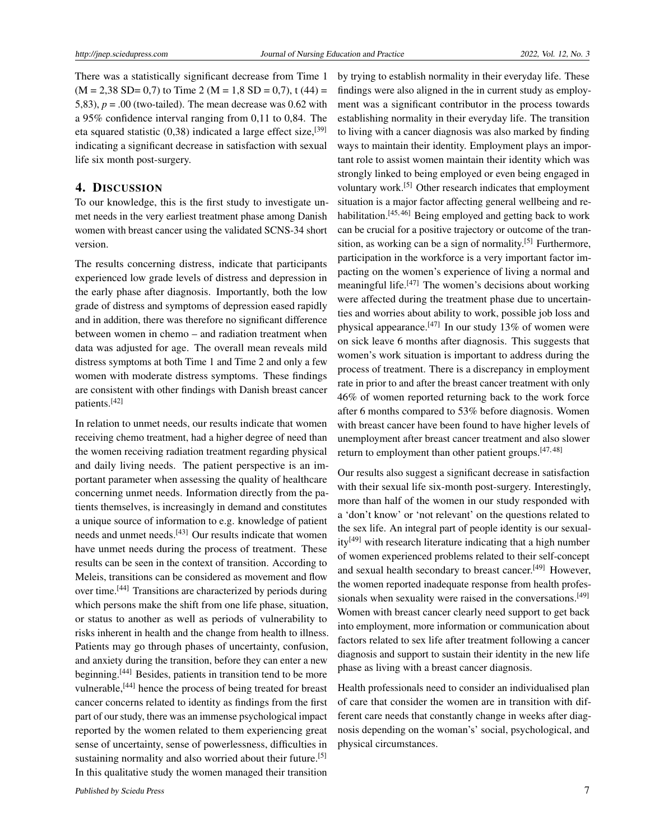There was a statistically significant decrease from Time 1  $(M = 2,38$  SD= 0,7) to Time 2 (M = 1,8 SD = 0,7), t (44) = 5,83),  $p = .00$  (two-tailed). The mean decrease was 0.62 with a 95% confidence interval ranging from 0,11 to 0,84. The eta squared statistic  $(0,38)$  indicated a large effect size,<sup>[\[39\]](#page-8-18)</sup> indicating a significant decrease in satisfaction with sexual life six month post-surgery.

# 4. DISCUSSION

To our knowledge, this is the first study to investigate unmet needs in the very earliest treatment phase among Danish women with breast cancer using the validated SCNS-34 short version.

The results concerning distress, indicate that participants experienced low grade levels of distress and depression in the early phase after diagnosis. Importantly, both the low grade of distress and symptoms of depression eased rapidly and in addition, there was therefore no significant difference between women in chemo – and radiation treatment when data was adjusted for age. The overall mean reveals mild distress symptoms at both Time 1 and Time 2 and only a few women with moderate distress symptoms. These findings are consistent with other findings with Danish breast cancer patients.[\[42\]](#page-8-21)

In relation to unmet needs, our results indicate that women receiving chemo treatment, had a higher degree of need than the women receiving radiation treatment regarding physical and daily living needs. The patient perspective is an important parameter when assessing the quality of healthcare concerning unmet needs. Information directly from the patients themselves, is increasingly in demand and constitutes a unique source of information to e.g. knowledge of patient needs and unmet needs.<sup>[\[43\]](#page-8-22)</sup> Our results indicate that women have unmet needs during the process of treatment. These results can be seen in the context of transition. According to Meleis, transitions can be considered as movement and flow over time.[\[44\]](#page-8-23) Transitions are characterized by periods during which persons make the shift from one life phase, situation, or status to another as well as periods of vulnerability to risks inherent in health and the change from health to illness. Patients may go through phases of uncertainty, confusion, and anxiety during the transition, before they can enter a new beginning.<sup>[\[44\]](#page-8-23)</sup> Besides, patients in transition tend to be more vulnerable,[\[44\]](#page-8-23) hence the process of being treated for breast cancer concerns related to identity as findings from the first part of our study, there was an immense psychological impact reported by the women related to them experiencing great sense of uncertainty, sense of powerlessness, difficulties in sustaining normality and also worried about their future.<sup>[\[5\]](#page-7-4)</sup> In this qualitative study the women managed their transition

by trying to establish normality in their everyday life. These findings were also aligned in the in current study as employment was a significant contributor in the process towards establishing normality in their everyday life. The transition to living with a cancer diagnosis was also marked by finding ways to maintain their identity. Employment plays an important role to assist women maintain their identity which was strongly linked to being employed or even being engaged in voluntary work.[\[5\]](#page-7-4) Other research indicates that employment situation is a major factor affecting general wellbeing and re-habilitation.<sup>[\[45,](#page-8-24) [46\]](#page-8-25)</sup> Being employed and getting back to work can be crucial for a positive trajectory or outcome of the tran-sition, as working can be a sign of normality.<sup>[\[5\]](#page-7-4)</sup> Furthermore, participation in the workforce is a very important factor impacting on the women's experience of living a normal and meaningful life. $[47]$  The women's decisions about working were affected during the treatment phase due to uncertainties and worries about ability to work, possible job loss and physical appearance.<sup>[\[47\]](#page-9-0)</sup> In our study 13% of women were on sick leave 6 months after diagnosis. This suggests that women's work situation is important to address during the process of treatment. There is a discrepancy in employment rate in prior to and after the breast cancer treatment with only 46% of women reported returning back to the work force after 6 months compared to 53% before diagnosis. Women with breast cancer have been found to have higher levels of unemployment after breast cancer treatment and also slower return to employment than other patient groups.<sup>[\[47,](#page-9-0)[48\]](#page-9-1)</sup>

Our results also suggest a significant decrease in satisfaction with their sexual life six-month post-surgery. Interestingly, more than half of the women in our study responded with a 'don't know' or 'not relevant' on the questions related to the sex life. An integral part of people identity is our sexual- $ity^{[49]}$  $ity^{[49]}$  $ity^{[49]}$  with research literature indicating that a high number of women experienced problems related to their self-concept and sexual health secondary to breast cancer.[\[49\]](#page-9-2) However, the women reported inadequate response from health profes-sionals when sexuality were raised in the conversations.<sup>[\[49\]](#page-9-2)</sup> Women with breast cancer clearly need support to get back into employment, more information or communication about factors related to sex life after treatment following a cancer diagnosis and support to sustain their identity in the new life phase as living with a breast cancer diagnosis.

Health professionals need to consider an individualised plan of care that consider the women are in transition with different care needs that constantly change in weeks after diagnosis depending on the woman's' social, psychological, and physical circumstances.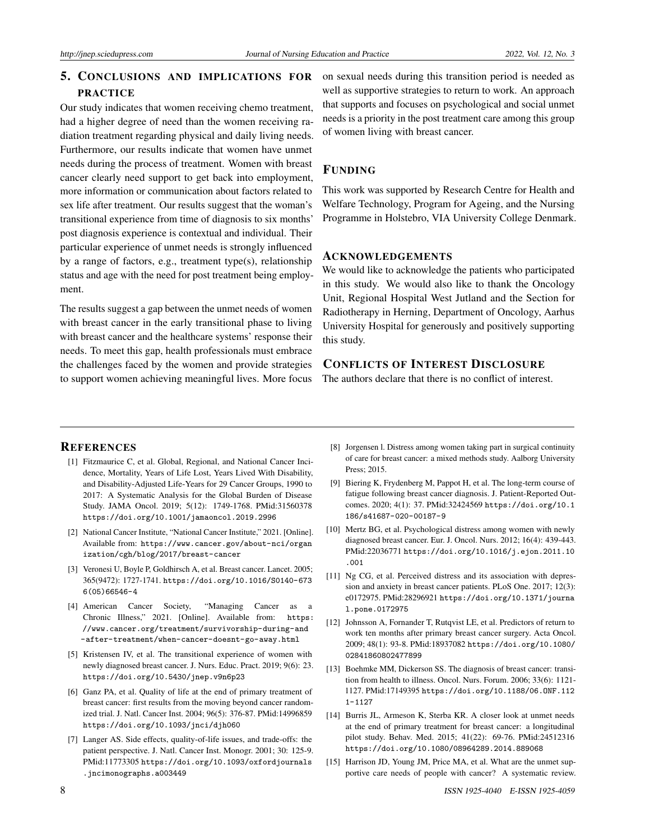# 5. CONCLUSIONS AND IMPLICATIONS FOR PRACTICE

Our study indicates that women receiving chemo treatment, had a higher degree of need than the women receiving radiation treatment regarding physical and daily living needs. Furthermore, our results indicate that women have unmet needs during the process of treatment. Women with breast cancer clearly need support to get back into employment, more information or communication about factors related to sex life after treatment. Our results suggest that the woman's transitional experience from time of diagnosis to six months' post diagnosis experience is contextual and individual. Their particular experience of unmet needs is strongly influenced by a range of factors, e.g., treatment type(s), relationship status and age with the need for post treatment being employment.

The results suggest a gap between the unmet needs of women with breast cancer in the early transitional phase to living with breast cancer and the healthcare systems' response their needs. To meet this gap, health professionals must embrace the challenges faced by the women and provide strategies to support women achieving meaningful lives. More focus on sexual needs during this transition period is needed as well as supportive strategies to return to work. An approach that supports and focuses on psychological and social unmet needs is a priority in the post treatment care among this group of women living with breast cancer.

# FUNDING

This work was supported by Research Centre for Health and Welfare Technology, Program for Ageing, and the Nursing Programme in Holstebro, VIA University College Denmark.

# ACKNOWLEDGEMENTS

We would like to acknowledge the patients who participated in this study. We would also like to thank the Oncology Unit, Regional Hospital West Jutland and the Section for Radiotherapy in Herning, Department of Oncology, Aarhus University Hospital for generously and positively supporting this study.

# CONFLICTS OF INTEREST DISCLOSURE

The authors declare that there is no conflict of interest.

### **REFERENCES**

- <span id="page-7-0"></span>[1] Fitzmaurice C, et al. Global, Regional, and National Cancer Incidence, Mortality, Years of Life Lost, Years Lived With Disability, and Disability-Adjusted Life-Years for 29 Cancer Groups, 1990 to 2017: A Systematic Analysis for the Global Burden of Disease Study. JAMA Oncol. 2019; 5(12): 1749-1768. PMid:31560378 <https://doi.org/10.1001/jamaoncol.2019.2996>
- <span id="page-7-1"></span>[2] National Cancer Institute, "National Cancer Institute," 2021. [Online]. Available from: [https://www.cancer.gov/about-nci/organ](https://www.cancer.gov/about-nci/organization/cgh/blog/2017/breast-cancer) [ization/cgh/blog/2017/breast-cancer](https://www.cancer.gov/about-nci/organization/cgh/blog/2017/breast-cancer)
- <span id="page-7-2"></span>[3] Veronesi U, Boyle P, Goldhirsch A, et al. Breast cancer. Lancet. 2005; 365(9472): 1727-1741. [https://doi.org/10.1016/S0140-673](https://doi.org/10.1016/S0140-6736(05)66546-4 ) [6\(05\)66546-4](https://doi.org/10.1016/S0140-6736(05)66546-4 )
- <span id="page-7-3"></span>[4] American Cancer Society, "Managing Cancer as a Chronic Illness," 2021. [Online]. Available from: [https:](https://www.cancer.org/treatment/survivorship-during-and-after-treatment/when-cancer-doesnt-go-away.html) [//www.cancer.org/treatment/survivorship-during-and](https://www.cancer.org/treatment/survivorship-during-and-after-treatment/when-cancer-doesnt-go-away.html) [-after-treatment/when-cancer-doesnt-go-away.html](https://www.cancer.org/treatment/survivorship-during-and-after-treatment/when-cancer-doesnt-go-away.html)
- <span id="page-7-4"></span>[5] Kristensen IV, et al. The transitional experience of women with newly diagnosed breast cancer. J. Nurs. Educ. Pract. 2019; 9(6): 23. [https://doi.org/10.5430/jnep.v9n6p23](https://doi.org/10.5430/jnep.v9n6p23 )
- <span id="page-7-5"></span>[6] Ganz PA, et al. Quality of life at the end of primary treatment of breast cancer: first results from the moving beyond cancer randomized trial. J. Natl. Cancer Inst. 2004; 96(5): 376-87. PMid:14996859 <https://doi.org/10.1093/jnci/djh060>
- <span id="page-7-6"></span>[7] Langer AS. Side effects, quality-of-life issues, and trade-offs: the patient perspective. J. Natl. Cancer Inst. Monogr. 2001; 30: 125-9. PMid:11773305 [https://doi.org/10.1093/oxfordjournals](https://doi.org/10.1093/oxfordjournals.jncimonographs.a003449) [.jncimonographs.a003449](https://doi.org/10.1093/oxfordjournals.jncimonographs.a003449)
- <span id="page-7-7"></span>[8] Jorgensen l. Distress among women taking part in surgical continuity of care for breast cancer: a mixed methods study. Aalborg University Press; 2015.
- <span id="page-7-8"></span>[9] Biering K, Frydenberg M, Pappot H, et al. The long-term course of fatigue following breast cancer diagnosis. J. Patient-Reported Outcomes. 2020; 4(1): 37. PMid:32424569 [https://doi.org/10.1](https://doi.org/10.1186/s41687-020-00187-9) [186/s41687-020-00187-9](https://doi.org/10.1186/s41687-020-00187-9)
- <span id="page-7-9"></span>[10] Mertz BG, et al. Psychological distress among women with newly diagnosed breast cancer. Eur. J. Oncol. Nurs. 2012; 16(4): 439-443. PMid:22036771 [https://doi.org/10.1016/j.ejon.2011.10](https://doi.org/10.1016/j.ejon.2011.10.001) [.001](https://doi.org/10.1016/j.ejon.2011.10.001)
- <span id="page-7-10"></span>[11] Ng CG, et al. Perceived distress and its association with depression and anxiety in breast cancer patients. PLoS One. 2017; 12(3): e0172975. PMid:28296921 [https://doi.org/10.1371/journa](https://doi.org/10.1371/journal.pone.0172975) [l.pone.0172975](https://doi.org/10.1371/journal.pone.0172975)
- <span id="page-7-11"></span>[12] Johnsson A, Fornander T, Rutqvist LE, et al. Predictors of return to work ten months after primary breast cancer surgery. Acta Oncol. 2009; 48(1): 93-8. PMid:18937082 [https://doi.org/10.1080/](https://doi.org/10.1080/02841860802477899) [02841860802477899](https://doi.org/10.1080/02841860802477899)
- <span id="page-7-12"></span>[13] Boehmke MM, Dickerson SS. The diagnosis of breast cancer: transition from health to illness. Oncol. Nurs. Forum. 2006; 33(6): 1121- 1127. PMid:17149395 [https://doi.org/10.1188/06.ONF.112](https://doi.org/10.1188/06.ONF.1121-1127) [1-1127](https://doi.org/10.1188/06.ONF.1121-1127)
- <span id="page-7-13"></span>[14] Burris JL, Armeson K, Sterba KR. A closer look at unmet needs at the end of primary treatment for breast cancer: a longitudinal pilot study. Behav. Med. 2015; 41(22): 69-76. PMid:24512316 <https://doi.org/10.1080/08964289.2014.889068>
- <span id="page-7-14"></span>[15] Harrison JD, Young JM, Price MA, et al. What are the unmet supportive care needs of people with cancer? A systematic review.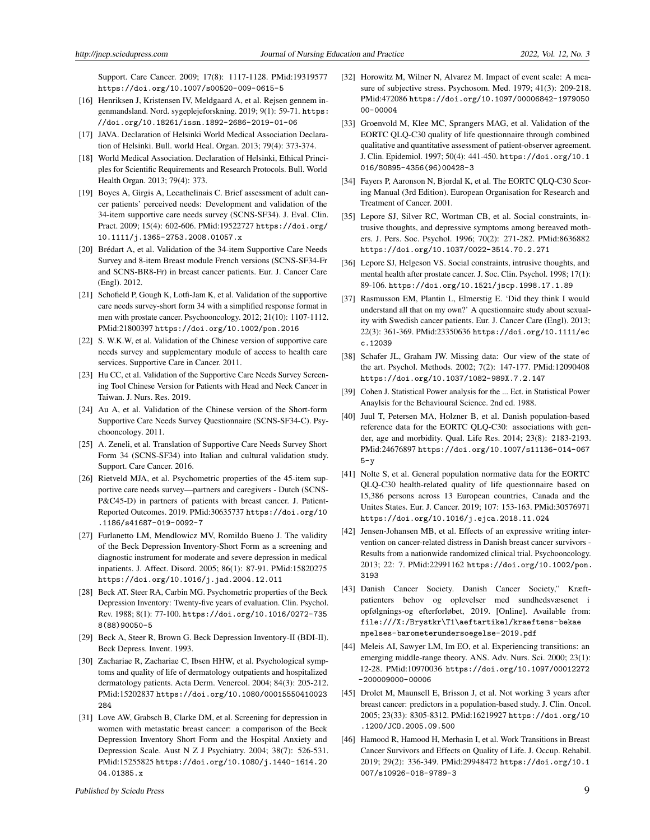Support. Care Cancer. 2009; 17(8): 1117-1128. PMid:19319577 <https://doi.org/10.1007/s00520-009-0615-5>

- <span id="page-8-0"></span>[16] Henriksen J, Kristensen IV, Meldgaard A, et al. Rejsen gennem ingenmandsland. Nord. sygeplejeforskning. 2019; 9(1): 59-71. [https:](https://doi.org/10.18261/issn.1892-2686-2019-01-06) [//doi.org/10.18261/issn.1892-2686-2019-01-06](https://doi.org/10.18261/issn.1892-2686-2019-01-06)
- <span id="page-8-1"></span>[17] JAVA. Declaration of Helsinki World Medical Association Declaration of Helsinki. Bull. world Heal. Organ. 2013; 79(4): 373-374.
- <span id="page-8-2"></span>[18] World Medical Association. Declaration of Helsinki, Ethical Principles for Scientific Requirements and Research Protocols. Bull. World Health Organ. 2013; 79(4): 373.
- <span id="page-8-3"></span>[19] Boyes A, Girgis A, Lecathelinais C. Brief assessment of adult cancer patients' perceived needs: Development and validation of the 34-item supportive care needs survey (SCNS-SF34). J. Eval. Clin. Pract. 2009; 15(4): 602-606. PMid:19522727 [https://doi.org/](https://doi.org/10.1111/j.1365-2753.2008.01057.x) [10.1111/j.1365-2753.2008.01057.x](https://doi.org/10.1111/j.1365-2753.2008.01057.x)
- <span id="page-8-4"></span>[20] Brédart A, et al. Validation of the 34-item Supportive Care Needs Survey and 8-item Breast module French versions (SCNS-SF34-Fr and SCNS-BR8-Fr) in breast cancer patients. Eur. J. Cancer Care (Engl). 2012.
- <span id="page-8-5"></span>[21] Schofield P, Gough K, Lotfi-Jam K, et al. Validation of the supportive care needs survey-short form 34 with a simplified response format in men with prostate cancer. Psychooncology. 2012; 21(10): 1107-1112. PMid:21800397 <https://doi.org/10.1002/pon.2016>
- [22] S. W.K.W, et al. Validation of the Chinese version of supportive care needs survey and supplementary module of access to health care services. Supportive Care in Cancer. 2011.
- [23] Hu CC, et al. Validation of the Supportive Care Needs Survey Screening Tool Chinese Version for Patients with Head and Neck Cancer in Taiwan. J. Nurs. Res. 2019.
- [24] Au A, et al. Validation of the Chinese version of the Short-form Supportive Care Needs Survey Questionnaire (SCNS-SF34-C). Psychooncology. 2011.
- [25] A. Zeneli, et al. Translation of Supportive Care Needs Survey Short Form 34 (SCNS-SF34) into Italian and cultural validation study. Support. Care Cancer. 2016.
- <span id="page-8-6"></span>[26] Rietveld MJA, et al. Psychometric properties of the 45-item supportive care needs survey—partners and caregivers - Dutch (SCNS-P&C45-D) in partners of patients with breast cancer. J. Patient-Reported Outcomes. 2019. PMid:30635737 [https://doi.org/10](https://doi.org/10.1186/s41687-019-0092-7) [.1186/s41687-019-0092-7](https://doi.org/10.1186/s41687-019-0092-7)
- <span id="page-8-7"></span>[27] Furlanetto LM, Mendlowicz MV, Romildo Bueno J. The validity of the Beck Depression Inventory-Short Form as a screening and diagnostic instrument for moderate and severe depression in medical inpatients. J. Affect. Disord. 2005; 86(1): 87-91. PMid:15820275 <https://doi.org/10.1016/j.jad.2004.12.011>
- [28] Beck AT. Steer RA, Carbin MG. Psychometric properties of the Beck Depression Inventory: Twenty-five years of evaluation. Clin. Psychol. Rev. 1988; 8(1): 77-100. [https://doi.org/10.1016/0272-735](https://doi.org/10.1016/0272-7358(88)90050-5) [8\(88\)90050-5](https://doi.org/10.1016/0272-7358(88)90050-5)
- <span id="page-8-8"></span>[29] Beck A, Steer R, Brown G. Beck Depression Inventory-II (BDI-II). Beck Depress. Invent. 1993.
- <span id="page-8-9"></span>[30] Zachariae R, Zachariae C, Ibsen HHW, et al. Psychological symptoms and quality of life of dermatology outpatients and hospitalized dermatology patients. Acta Derm. Venereol. 2004; 84(3): 205-212. PMid:15202837 [https://doi.org/10.1080/00015550410023](https://doi.org/10.1080/00015550410023284) [284](https://doi.org/10.1080/00015550410023284)
- <span id="page-8-10"></span>[31] Love AW, Grabsch B, Clarke DM, et al. Screening for depression in women with metastatic breast cancer: a comparison of the Beck Depression Inventory Short Form and the Hospital Anxiety and Depression Scale. Aust N Z J Psychiatry. 2004; 38(7): 526-531. PMid:15255825 [https://doi.org/10.1080/j.1440-1614.20](https://doi.org/10.1080/j.1440-1614.2004.01385.x) [04.01385.x](https://doi.org/10.1080/j.1440-1614.2004.01385.x)
- <span id="page-8-11"></span>[32] Horowitz M, Wilner N, Alvarez M. Impact of event scale: A measure of subjective stress. Psychosom. Med. 1979; 41(3): 209-218. PMid:472086 [https://doi.org/10.1097/00006842-1979050](https://doi.org/10.1097/00006842-197905000-00004) [00-00004](https://doi.org/10.1097/00006842-197905000-00004)
- <span id="page-8-12"></span>[33] Groenvold M, Klee MC, Sprangers MAG, et al. Validation of the EORTC QLQ-C30 quality of life questionnaire through combined qualitative and quantitative assessment of patient-observer agreement. J. Clin. Epidemiol. 1997; 50(4): 441-450. [https://doi.org/10.1](https://doi.org/10.1016/S0895-4356(96)00428-3) [016/S0895-4356\(96\)00428-3](https://doi.org/10.1016/S0895-4356(96)00428-3)
- <span id="page-8-13"></span>[34] Fayers P, Aaronson N, Bjordal K, et al. The EORTC QLQ-C30 Scoring Manual (3rd Edition). European Organisation for Research and Treatment of Cancer. 2001.
- <span id="page-8-14"></span>[35] Lepore SJ, Silver RC, Wortman CB, et al. Social constraints, intrusive thoughts, and depressive symptoms among bereaved mothers. J. Pers. Soc. Psychol. 1996; 70(2): 271-282. PMid:8636882 <https://doi.org/10.1037/0022-3514.70.2.271>
- <span id="page-8-15"></span>[36] Lepore SJ, Helgeson VS. Social constraints, intrusive thoughts, and mental health after prostate cancer. J. Soc. Clin. Psychol. 1998; 17(1): 89-106. <https://doi.org/10.1521/jscp.1998.17.1.89>
- <span id="page-8-16"></span>[37] Rasmusson EM, Plantin L, Elmerstig E. 'Did they think I would understand all that on my own?' A questionnaire study about sexuality with Swedish cancer patients. Eur. J. Cancer Care (Engl). 2013; 22(3): 361-369. PMid:23350636 [https://doi.org/10.1111/ec](https://doi.org/10.1111/ecc.12039) [c.12039](https://doi.org/10.1111/ecc.12039)
- <span id="page-8-17"></span>[38] Schafer JL, Graham JW. Missing data: Our view of the state of the art. Psychol. Methods. 2002; 7(2): 147-177. PMid:12090408 <https://doi.org/10.1037/1082-989X.7.2.147>
- <span id="page-8-18"></span>[39] Cohen J. Statistical Power analysis for the ... Ect. in Statistical Power Anaylsis for the Behavioural Science. 2nd ed. 1988.
- <span id="page-8-19"></span>[40] Juul T, Petersen MA, Holzner B, et al. Danish population-based reference data for the EORTC QLQ-C30: associations with gender, age and morbidity. Qual. Life Res. 2014; 23(8): 2183-2193. PMid:24676897 [https://doi.org/10.1007/s11136-014-067](https://doi.org/10.1007/s11136-014-0675-y)  $5-y$
- <span id="page-8-20"></span>[41] Nolte S, et al. General population normative data for the EORTC QLQ-C30 health-related quality of life questionnaire based on 15,386 persons across 13 European countries, Canada and the Unites States. Eur. J. Cancer. 2019; 107: 153-163. PMid:30576971 <https://doi.org/10.1016/j.ejca.2018.11.024>
- <span id="page-8-21"></span>[42] Jensen-Johansen MB, et al. Effects of an expressive writing intervention on cancer-related distress in Danish breast cancer survivors - Results from a nationwide randomized clinical trial. Psychooncology. 2013; 22: 7. PMid:22991162 [https://doi.org/10.1002/pon.](https://doi.org/10.1002/pon.3193) [3193](https://doi.org/10.1002/pon.3193)
- <span id="page-8-22"></span>[43] Danish Cancer Society. Danish Cancer Society," Kræftpatienters behov og oplevelser med sundhedsvæsenet i opfølgnings-og efterforløbet, 2019. [Online]. Available from: [file:///X:/Brystkr\T1\aeftartikel/kraeftens-bekae](file:///X:/Brystkr\T1\ae ftartikel/kraeftens-bekaempelses-barometerundersoegelse-2019.pdf) [mpelses-barometerundersoegelse-2019.pdf](file:///X:/Brystkr\T1\ae ftartikel/kraeftens-bekaempelses-barometerundersoegelse-2019.pdf)
- <span id="page-8-23"></span>[44] Meleis AI, Sawyer LM, Im EO, et al. Experiencing transitions: an emerging middle-range theory. ANS. Adv. Nurs. Sci. 2000; 23(1): 12-28. PMid:10970036 [https://doi.org/10.1097/00012272](https://doi.org/10.1097/00012272-200009000-00006) [-200009000-00006](https://doi.org/10.1097/00012272-200009000-00006)
- <span id="page-8-24"></span>[45] Drolet M, Maunsell E, Brisson J, et al. Not working 3 years after breast cancer: predictors in a population-based study. J. Clin. Oncol. 2005; 23(33): 8305-8312. PMid:16219927 [https://doi.org/10](https://doi.org/10.1200/JCO.2005.09.500) [.1200/JCO.2005.09.500](https://doi.org/10.1200/JCO.2005.09.500)
- <span id="page-8-25"></span>[46] Hamood R, Hamood H, Merhasin I, et al. Work Transitions in Breast Cancer Survivors and Effects on Quality of Life. J. Occup. Rehabil. 2019; 29(2): 336-349. PMid:29948472 [https://doi.org/10.1](https://doi.org/10.1007/s10926-018-9789-3) [007/s10926-018-9789-3](https://doi.org/10.1007/s10926-018-9789-3)